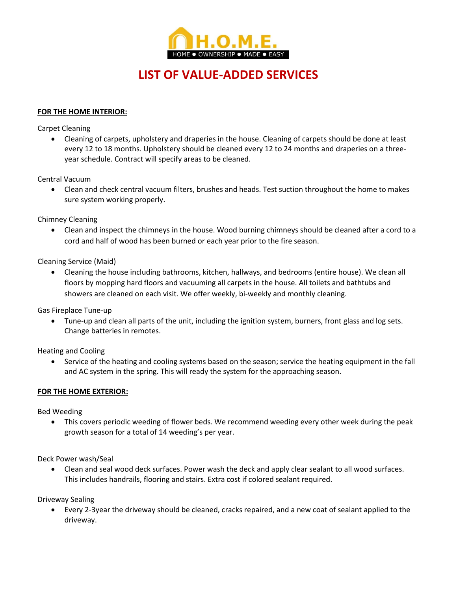

# **LIST OF VALUE-ADDED SERVICES**

#### **FOR THE HOME INTERIOR:**

Carpet Cleaning

• Cleaning of carpets, upholstery and draperies in the house. Cleaning of carpets should be done at least every 12 to 18 months. Upholstery should be cleaned every 12 to 24 months and draperies on a threeyear schedule. Contract will specify areas to be cleaned.

Central Vacuum

• Clean and check central vacuum filters, brushes and heads. Test suction throughout the home to makes sure system working properly.

Chimney Cleaning

• Clean and inspect the chimneys in the house. Wood burning chimneys should be cleaned after a cord to a cord and half of wood has been burned or each year prior to the fire season.

Cleaning Service (Maid)

• Cleaning the house including bathrooms, kitchen, hallways, and bedrooms (entire house). We clean all floors by mopping hard floors and vacuuming all carpets in the house. All toilets and bathtubs and showers are cleaned on each visit. We offer weekly, bi-weekly and monthly cleaning.

Gas Fireplace Tune-up

• Tune-up and clean all parts of the unit, including the ignition system, burners, front glass and log sets. Change batteries in remotes.

Heating and Cooling

• Service of the heating and cooling systems based on the season; service the heating equipment in the fall and AC system in the spring. This will ready the system for the approaching season.

### **FOR THE HOME EXTERIOR:**

Bed Weeding

• This covers periodic weeding of flower beds. We recommend weeding every other week during the peak growth season for a total of 14 weeding's per year.

Deck Power wash/Seal

• Clean and seal wood deck surfaces. Power wash the deck and apply clear sealant to all wood surfaces. This includes handrails, flooring and stairs. Extra cost if colored sealant required.

Driveway Sealing

• Every 2-3year the driveway should be cleaned, cracks repaired, and a new coat of sealant applied to the driveway.